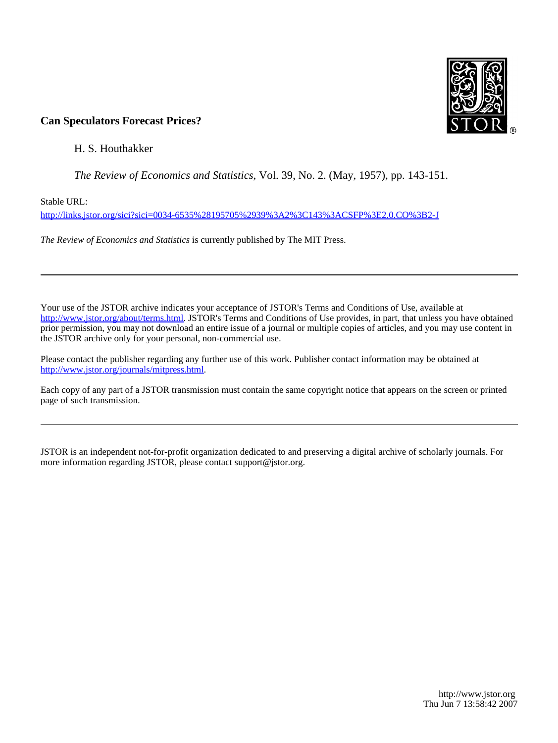

## **Can Speculators Forecast Prices?**

H. S. Houthakker

*The Review of Economics and Statistics*, Vol. 39, No. 2. (May, 1957), pp. 143-151.

Stable URL:

<http://links.jstor.org/sici?sici=0034-6535%28195705%2939%3A2%3C143%3ACSFP%3E2.0.CO%3B2-J>

*The Review of Economics and Statistics* is currently published by The MIT Press.

Your use of the JSTOR archive indicates your acceptance of JSTOR's Terms and Conditions of Use, available at [http://www.jstor.org/about/terms.html.](http://www.jstor.org/about/terms.html) JSTOR's Terms and Conditions of Use provides, in part, that unless you have obtained prior permission, you may not download an entire issue of a journal or multiple copies of articles, and you may use content in the JSTOR archive only for your personal, non-commercial use.

Please contact the publisher regarding any further use of this work. Publisher contact information may be obtained at <http://www.jstor.org/journals/mitpress.html>.

Each copy of any part of a JSTOR transmission must contain the same copyright notice that appears on the screen or printed page of such transmission.

JSTOR is an independent not-for-profit organization dedicated to and preserving a digital archive of scholarly journals. For more information regarding JSTOR, please contact support@jstor.org.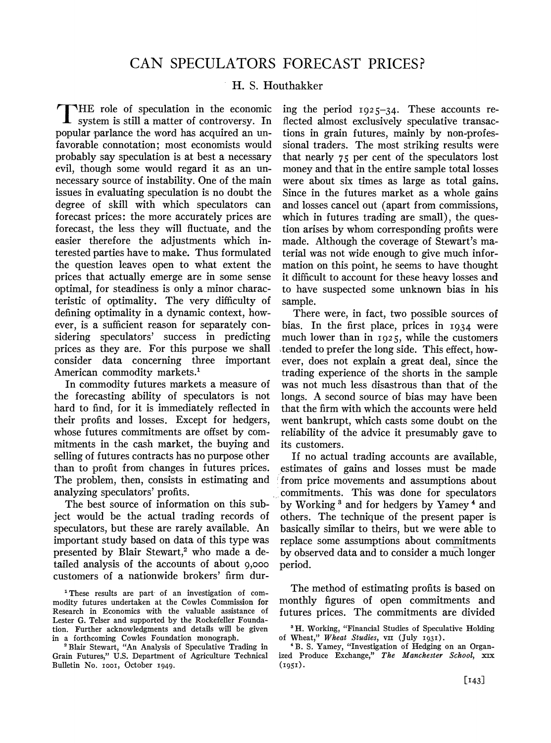## CAN SPECULATORS FORECAST PRICES?

## **R.**S. Houthakker

THE role of speculation in the economic<br>system is still a matter of controversy. In popular parlance the word has acquired an unfavorable connotation; most economists would probably say speculation is at best a necessary evil, though some would regard it as an unnecessary source of instability. One of the main issues in evaluating speculation is no doubt the degree of skill with which speculators can forecast prices: the more accurately prices are forecast, the less they will fluctuate, and the easier therefore the adjustments which interested parties have to make. Thus formulated the question leaves open to what extent the prices that actually emerge are in some sense optimal, for steadiness is only a minor characteristic of optimality. The very difficulty of defining optimality in a dynamic context, however, is a sufficient reason for separately considering speculators' success in predicting prices as they are. For this purpose we shall consider data concerning three important American commodity markets.'

In commodity futures markets a measure of the forecasting ability of speculators is not hard to find, for it is immediately reflected in their profits and losses. Except for hedgers, whose futures commitments are offset by commitments in the cash market, the buying and selling of futures contracts has no purpose other than to profit from changes in futures prices. The problem, then, consists in estimating and analyzing speculators' profits.

The best source of information on this subject would be the actual trading records of speculators, but these are rarely available. An important study based on data of this type was presented by Blair Stewart,<sup>2</sup> who made a detailed analysis of the accounts of about 9,000 customers of a nationwide brokers' firm dur-

ing the period  $1925-34$ . These accounts reflected almost exclusively speculative transactions in grain futures, mainly by non-professional traders. The most striking results were that nearly 75 per cent of the speculators lost money and that in the entire sample total losses were about six times as large as total gains. Since in the futures market as a whole gains and losses cancel out (apart from commissions, which in futures trading are small), the question arises by whom corresponding profits were made. Although the coverage of Stewart's material was not wide enough to give much information on this point, he seems to have thought it difficult to account for these heavy losses and to have suspected some unknown bias in his sample.

There were, in fact, two possible sources of bias. In the first place, prices in 1934 were much lower than in 1925, while the customers .tended to prefer the long side. This effect, however, does not explain a great deal, since the trading experience of the shorts in the sample was not much less disastrous than that of the longs. A second source of bias may have been that the firm with which the accounts were held went bankrupt, which casts some doubt on the reliability of the advice it presumably gave to its customers.

If no actual trading accounts are available, estimates of gains and losses must be made from price movements and assumptions about commitments. This was done for speculators by Working<sup>3</sup> and for hedgers by Yamey<sup>4</sup> and others. The technique of the present paper is basically similar to theirs, but we were able to replace some assumptions about commitments by observed data and to consider a much longer period.

The method of estimating profits is based on monthly figures of open commitments and futures prices. The commitments are divided

<sup>&</sup>lt;sup>1</sup>These results are part of an investigation of commodity futures undertaken at the Cowles Commission for Research in Economics with the valuable assistance of Lester G. Telser and supported by the Rockefeller Foundation. Further acknowledgments and details will be given in a forthcoming Cowles Foundation monograph.

<sup>&#</sup>x27;Blair Stewart, "An Analysis of Speculative Trading in Grain Futures," U.S. Department of Agriculture Technical Bulletin No. 1001, October 1949.

<sup>&</sup>lt;sup>3</sup> H. Working, "Financial Studies of Speculative Holding of Wheat," Wheat Studies, VII (July 1931).

B. S. Yamey, "Investigation of Hedging on an Organized Produce Exchange," The Manchester School, **XIX**   $(1951).$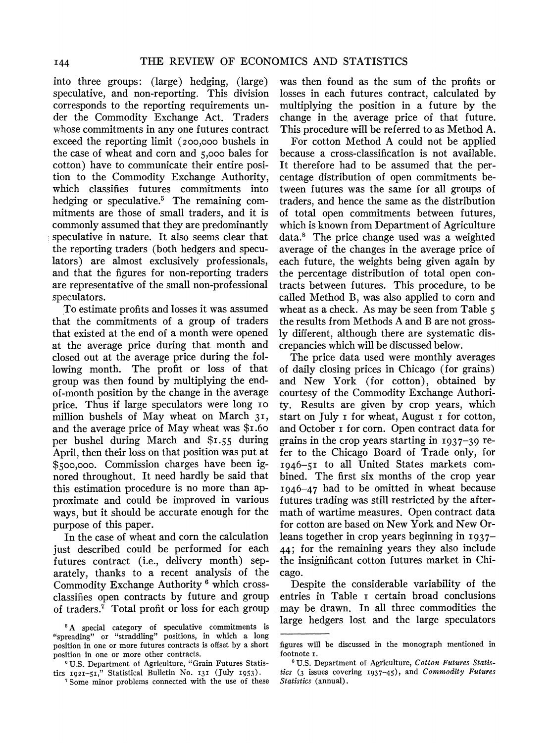into three groups: (large) hedging, (large) speculative, and non-reporting. This division corresponds to the reporting requirements under the Commodity Exchange Act. Traders whose commitments in any one futures contract exceed the reporting limit (200,ooo bushels in the case of wheat and corn and 5,000 bales for cotton) have to communicate their entire position to the Commodity Exchange Authority, which classifies futures commitments into hedging or speculative.<sup>5</sup> The remaining commitments are those of small traders, and it is commonly assumed that they are predominantly speculative in nature. It also seems clear that the reporting traders (both hedgers and speculators) are almost exclusively professionals, and that the figures for non-reporting traders are representative of the small non-professional speculators.

To estimate profits and losses it was assumed that the commitments of a group of traders that existed at the end of a month were opened at the average price during that month and closed out at the average price during the following month. The profit or loss of that group was then found by multiplying the endoi-month position by the change in the average price. Thus if large speculators were long 10 million bushels of May wheat on March 31, and the average price of May wheat was \$1.60 per bushel during March and \$1.55 during April, then their loss on that position was put at \$500,000. Commission charges have been ignored throughout. It need hardly be said that this estimation procedure is no more than approximate and could be improved in various ways, but it should be accurate enough for the purpose of this paper.

In the case of wheat and corn the calculation just described could be performed for each futures contract (i.e., delivery month) separately, thanks to a recent analysis of the Commodity Exchange Authority<sup>6</sup> which crossclassifies open contracts by future and group of traders.<sup>7</sup> Total profit or loss for each group was then found as the sum of the profits or losses in each futures contract, calculated by multiplying the position in a future by the change in the average price of that future. This procedure will be referred to as Method A.

For cotton Method A could not be applied because a cross-classification is not available. It therefore had to be assumed that the percentage distribution of open commitments between futures was the same for all groups of traders, and hence the same as the distribution of total open commitments between futures, which is known from Department of Agriculture data.8 The price change used was a weighted average of the changes in the average price of each future, the weights being given again by the percentage distribution of total open contracts between futures. This procedure, to be called Method B, was also applied to corn and wheat as a check. As may be seen from Table 5 the results from Methods A and B are not grossly different, although there are systematic discrepancies which will be discussed below.

The price data used were monthly averages of daily closing prices in Chicago (for grains) and New York (for cotton), obtained by courtesy of the Commodity Exchange Authority. Results are given by crop years, which start on July I for wheat, August I for cotton, and October I for corn. Open contract data for grains in the crop years starting in 1937-39 refer to the Chicago Board of Trade only, for 1946-51 to all United States markets combined. The first six months of the crop year 1946-47 had to be omitted in wheat because futures trading was still restricted by the aftermath of wartime measures. Open contract data for cotton are based on New York and New Orleans together in crop years beginning in 1937- 44; for the remaining years they also include the insignificant cotton futures market in Chicago.

Despite the considerable variability of the entries in Table I certain broad conclusions may be drawn. In all three commodities the large hedgers lost and the large speculators

<sup>&</sup>lt;sup>5</sup>A special category of speculative commitments is "spreading" or "straddling" positions, in which a long position in one or more futures contracts is offset by a short position in one or more other contracts.

**a** U.S. Department of Agriculture, "Grain Futures Statistics 1921-51," Statistical Bulletin No. 131 (July 1953).

<sup>&#</sup>x27;Some minor problems connected with the use of these

figures will be discussed in the monograph mentioned in footnote I.

U.S. Department of Agriculture, *Cotton Futures Statistics (3* issues covering 1937-45), and *Commodity Futures Statistics* (annual).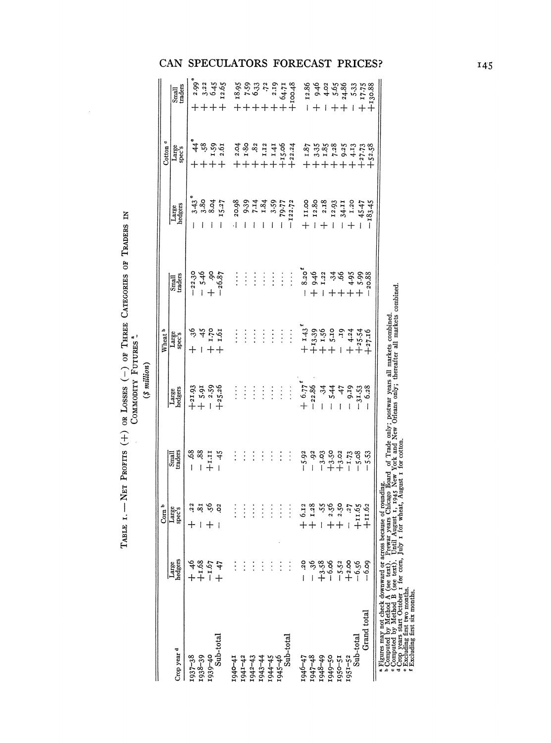TABLE I. – NET PROFITS  $(+)$  OR LOSSES  $(-)$  OF THREE CATEGORIES OF TRADERS IN COMONICITY FUTURES<sup>4</sup>.

 $\bar{\beta}$ 

 $(\textit{s million})$ 

|                                                                |                  | Corn <sup>b</sup>  |                               |                                               | Wheat <sup>b</sup>         |                                            |                                                | Cotton °                                   |                                                               |
|----------------------------------------------------------------|------------------|--------------------|-------------------------------|-----------------------------------------------|----------------------------|--------------------------------------------|------------------------------------------------|--------------------------------------------|---------------------------------------------------------------|
| Crop year d                                                    | Large<br>hedgers | Large<br>spec's    | Small<br>traders              | Large<br>hedgers                              | Large<br>spec's            | Small<br>traders                           | Large<br>hedgers                               | Large<br>spec's                            | $\begin{array}{c} \text{Small} \\ \text{traders} \end{array}$ |
| 1937-38                                                        | $+46$            |                    |                               |                                               | Ş,                         |                                            |                                                |                                            |                                                               |
| 1938-39                                                        | $+1.68$          | 32563              |                               |                                               |                            |                                            |                                                |                                            |                                                               |
| 1939-40                                                        | $-1.67$          |                    |                               |                                               |                            |                                            |                                                |                                            |                                                               |
| Sub-total                                                      | $7+$             |                    |                               | $+21.93$<br>$+ 5.91$<br>$+ 2.59$<br>$+ 25.26$ | $+1.5$<br>$+1.5$<br>$+1.5$ | $-22.30$<br>$-5.46$<br>$+5.46$<br>$-26.87$ | $3.43$<br>$3.80$<br>$3.54$<br>$5.43$<br>$5.43$ | $4\frac{3}{2}$ $\frac{5}{2}$ $\frac{5}{2}$ |                                                               |
| 1940-41                                                        |                  |                    |                               |                                               |                            |                                            |                                                |                                            |                                                               |
| 1941-42                                                        |                  | $\frac{1}{2}$      |                               |                                               |                            |                                            |                                                |                                            |                                                               |
| $1942 - 43$                                                    |                  |                    |                               |                                               |                            |                                            |                                                |                                            |                                                               |
| 1943-44                                                        |                  | j,                 |                               |                                               |                            |                                            |                                                |                                            |                                                               |
| $1944 - 45$                                                    |                  | $\vdots$           | $\mathcal{L}$                 |                                               |                            |                                            |                                                |                                            |                                                               |
| 1945-46                                                        |                  | $\ddot{\cdot}$     | $\frac{1}{2}$ , $\frac{1}{2}$ |                                               |                            |                                            |                                                |                                            |                                                               |
| Sub-total                                                      |                  | ļ                  |                               |                                               | 1111111                    | <b>HEEEE</b>                               |                                                |                                            |                                                               |
| 1946-47                                                        | $\ddot{ }$       | 6.12               |                               |                                               | $+ + + + + + + +$          |                                            |                                                |                                            | $\mathbf{I}$                                                  |
| 1947-48                                                        | $-36$            | 1.28               |                               |                                               |                            |                                            |                                                |                                            |                                                               |
| 1948-49                                                        | $+3.58$          |                    |                               |                                               |                            |                                            |                                                |                                            |                                                               |
| 1949-50                                                        | $-6.06$          | ນິດ<br>ມີຄູນ<br>ມີ |                               |                                               |                            |                                            |                                                |                                            |                                                               |
| 1950-51                                                        |                  |                    |                               |                                               |                            |                                            |                                                |                                            |                                                               |
| 1951-52                                                        | $-5.52$<br>+2.00 |                    |                               |                                               |                            |                                            |                                                |                                            |                                                               |
| Sub-total                                                      | $-6.56$          | 37.5<br>ᆉ          |                               |                                               |                            | - +                                        |                                                |                                            |                                                               |
| Grand total                                                    | $-6.09$          | 11.62              |                               |                                               |                            |                                            |                                                |                                            | 88<br>8403<br>84038<br>840337788                              |
| a Figures may not check downward or across because of rounding |                  |                    |                               |                                               |                            |                                            |                                                |                                            |                                                               |

b Computed by Method A (see text), whose arcsures of its subsection of Trade only; postwar years all markets combined.<br>
• Computed by Method B (see text). Until August 1, 1945 New York and New Orleans only; thereafter all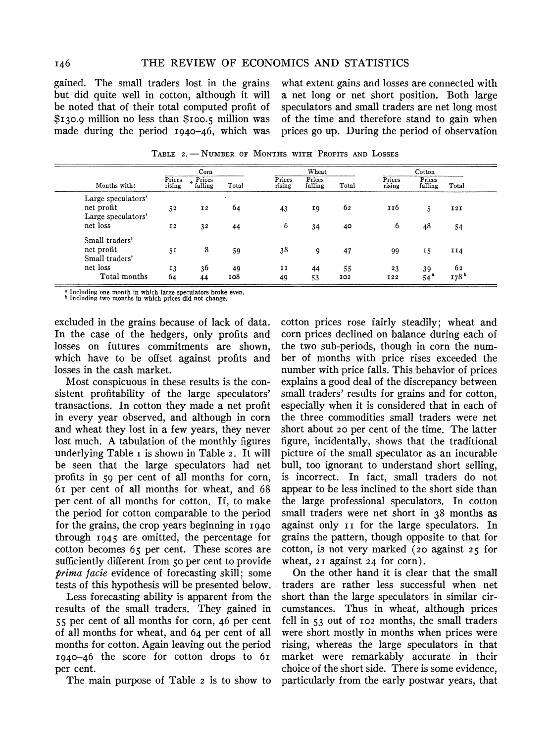gained. The small traders lost in the grains but did quite well in cotton, although it will be noted that of their total computed profit of \$130.9 million no less than \$100.5 million was made during the period 1940-46, which was what extent gains and losses are connected with a net long or net short position. Both large speculators and small traders are net long most of the time and therefore stand to gain when prices go up. During the period of observation

|                                                        |                  | Corn              |                 |                  | Wheat             |           |                  | Cotton                |                        |
|--------------------------------------------------------|------------------|-------------------|-----------------|------------------|-------------------|-----------|------------------|-----------------------|------------------------|
| Months with:                                           | Prices<br>rising | Prices<br>falling | Total           | Prices<br>rising | Prices<br>falling | Total     | Prices<br>rising | Prices<br>falling     | Total                  |
| Large speculators'<br>net profit<br>Large speculators' | 52               | <b>I2</b>         | $\lambda$<br>64 | 43               | 19                | 62        | 116              | 5                     | <b>I2I</b>             |
| net loss                                               | <b>I2</b>        | 32                | 44              | 6                | 34                | 40        | 6                | 48                    | 54                     |
| Small traders'<br>net profit<br>Small traders'         | 5 <sup>T</sup>   | 8                 | 59              | 38               | 9                 | 47        | 99               | 15                    | 114                    |
| net loss<br>Total months                               | 13<br>64         | 36<br>44          | 49<br>108       | II<br>49         | 44<br>53          | 55<br>102 | 23<br><b>I22</b> | 39<br>54 <sup>2</sup> | 62<br>178 <sup>b</sup> |

TABLE 2. - NUMBER OF MONTHS WITH PROFITS AND LOSSES

a Including one month in which large speculators broke even. **'1** Including two months in which prices did not change.

excluded in the grains because of lack of data. In the case of the hedgers, only profits and losses on futures commitments are shown, which have to be offset against profits and losses in the cash market.

Most conspicuous in these results is the consistent profitability of the large speculators' transactions. In cotton they made a net profit in every year observed, and although in corn and wheat they lost in a few years, they never lost much. A tabulation of the monthly figures underlying Table  $\bar{I}$  is shown in Table 2. It will be seen that the large speculators had net profits in 59 per cent of all months for corn, 61 per cent of all months for wheat, and 68 per cent of all months for cotton. If, to make the period for cotton comparable to the period for the grains, the crop years beginning in 1940 through 1945 are omitted, the percentage for cotton becomes 65 per cent. These scores are sufficiently different from 50 per cent to provide **prima facie** evidence of forecasting skill; some tests of this hypothesis will be presented below.

Less forecasting ability is apparent from the results of the small traders. They gained in 55 per cent of all months for corn, 46 per cent of all months for wheat, and 64 per cent of all months for cotton. Again leaving out the period 1940-46 the score for cotton drops to 61 per cent.

The main purpose of Table 2 is to show to

cotton prices rose fairly steadily; wheat and corn prices declined on balance during each of the two sub-periods, though in corn the number of months with price rises exceeded the number with price falls. This behavior of prices explains a good deal of the discrepancy between small traders' results for grains and for cotton, especially when it is considered that in each of the three commodities small traders were net short about 20 per cent of the time. The latter figure, incidentally, shows that the traditional picture of the small speculator as an incurable bull, too ignorant to understand short selling, is incorrect. In fact, small traders do not appear to be less inclined to the short side than the large professional speculators. In cotton small traders were net short in 38 months as against only 11 for the large speculators. In grains the pattern, though opposite to that for cotton, is not very marked (20 against 2 **5** for wheat, 21 against 24 for corn).

On the other hand it is clear that the small traders are rather less successful when net short than the large speculators in similar circumstances. Thus in wheat, although prices fell in 53 out of 102 months, the small traders were short mostly in months when prices were rising, whereas the large speculators in that market were remarkably accurate in their choice of the short side. There is some evidence, particularly from the early postwar years, that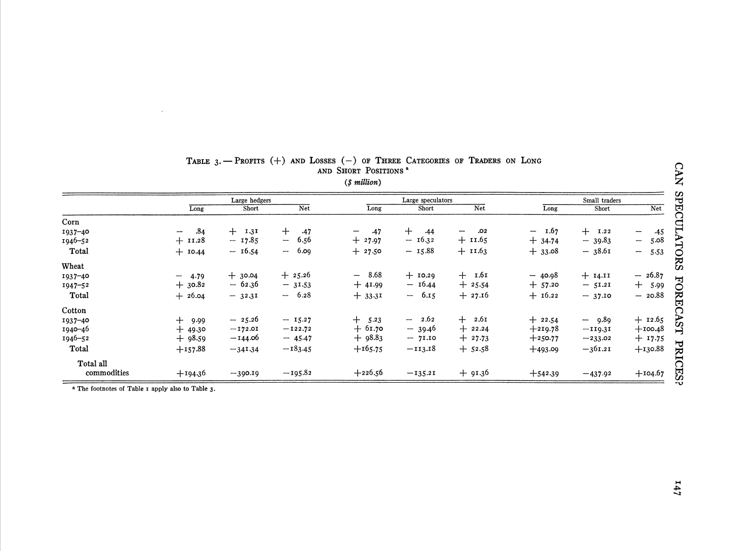|             |                                 |               |                                  | $(\text{\$ million})$  |                                  |                                      |                           |               |                                   |
|-------------|---------------------------------|---------------|----------------------------------|------------------------|----------------------------------|--------------------------------------|---------------------------|---------------|-----------------------------------|
|             |                                 | Large hedgers |                                  |                        | Large speculators                |                                      |                           | Small traders |                                   |
|             | Long                            | Short         | Net                              | Long                   | Short                            | Net                                  | Long                      | Short         | Net                               |
| Corn        |                                 |               |                                  |                        |                                  |                                      |                           |               |                                   |
| $1937 - 40$ | .84<br>$\overline{\phantom{a}}$ | $+ 1.31$      | $+$<br>.47                       | .47<br>$\qquad \qquad$ | $+$<br>.44                       | .02<br>$\overbrace{\phantom{13333}}$ | 1.67<br>$\qquad \qquad -$ | $+ 1.22$      | $-45$<br>$\qquad \qquad$          |
| 1946-52     | $+$ 11.28                       | $-17.85$      | 6.56<br>$\overline{\phantom{0}}$ | $+27.97$               | $-16.32$                         | $+11.65$                             | $+34.74$                  | $-39.83$      | 5.08<br>$\overline{\phantom{m}}$  |
| Total       | $+$ 10.44                       | $-16.54$      | 6.09<br>$\overline{\phantom{0}}$ | $+27.50$               | $-15.88$                         | $+11.63$                             | $+33.08$                  | $-38.61$      | 5.53<br>$\qquad \qquad$           |
| Wheat       |                                 |               |                                  |                        |                                  |                                      |                           |               |                                   |
| 1937-40     | 4.79<br>-                       | $+30.04$      | $+25.26$                         | 8.68<br>—              | $+$ 10.29                        | $+$ 1.61                             | $-40.98$                  | $+ 14.11$     | 26.87<br>$\overline{\phantom{0}}$ |
| $1947 - 52$ | $+30.82$                        | $-62.36$      | $-31.53$                         | $+41.99$               | $-16.44$                         | $+25.54$                             | $+57.20$                  | $-51.21$      | $^{+}$<br>5.99                    |
| Total       | $+26.04$                        | $-32.31$      | $-6.28$                          | $+33.31$               | 6.15<br>$\overline{\phantom{m}}$ | $+27.16$                             | $+16.22$                  | $-37.10$      | 20.88                             |
| Cotton      |                                 |               |                                  |                        |                                  |                                      |                           |               |                                   |
| $1937 - 40$ | $+$ 9.99                        | $-25.26$      | $-15.27$                         | $+$ 5.23               | $-2.62$                          | $+2.61$                              | $+22.54$                  | $-9.89$       | $+ 12.65$                         |
| 1940-46     | $+49.30$                        | $-172.01$     | $-122.72$                        | $+61.70$               | $-39.46$                         | $+22.24$                             | $+219.78$                 | $-119.31$     | $+100.48$                         |
| $1946 - 52$ | $+98.59$                        | $-144.06$     | $-45.47$                         | $+98.83$               | $-71.10$                         | $+27.73$                             | $+250.77$                 | $-233.02$     | $+17.75$                          |
| Total       | $+157.88$                       | $-34I.34$     | $-183.45$                        | $+165.75$              | $-113.18$                        | $+52.58$                             | $+493.09$                 | $-361.21$     | $+130.88$                         |
| Total all   |                                 |               |                                  |                        |                                  |                                      |                           |               |                                   |
| commodities | $+194.36$                       | $-390.19$     | $-195.82$                        | $+226.56$              | $-135.21$                        | $+91.36$                             | $+542.39$                 | $-437.92$     | $+104.67$                         |

## **TABLE 3.-PROFITS** (+) **AND LOSSES**(-) **OF THREE CATEGORIES OF TRADERS ON LONG AND SHORT POSITIONS <sup>a</sup>** (\$ **million)**

The footnotes of Table I apply also to Table 3.

 $\sim 100$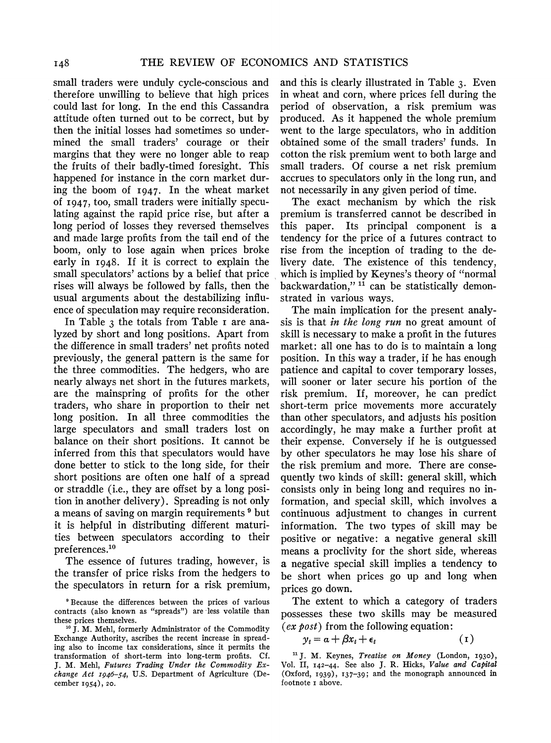small traders were unduly cycle-conscious and therefore unwilling to believe that high prices could last for long. In the end this Cassandra attitude often turned out to be correct, but by then the initial losses had sometimes so undermined the small traders' courage or their margins that they were no longer able to reap the fruits of their badly-timed foresight. This happened for instance in the corn market during the boom of 1947. In the wheat market of 1947, too, small traders were initially speculating against the rapid price rise, but after a long period of losses they reversed themselves and made large profits from the tail end of the boom, only to lose again when prices broke early in 1948. If it is correct to explain the small speculators' actions by a belief that price rises will always be followed by falls, then the usual arguments about the destabilizing influence of speculation may require reconsideration.

In Table **3** the totals from Table I are analyzed by short and long positions. Apart from the difference in small traders' net profits noted previously, the general pattern is the same for the three commodities. The hedgers, who are nearly always net short in the futures markets, are the mainspring of profits for the other traders, who share in proportion to their net long position. In all three commodities the large speculators and small traders lost on balance on their short positions. It cannot be inferred from this that speculators would have done better to stick to the long side, for their short positions are often one half of a spread or straddle (i.e., they are offset by a long position in another delivery). Spreading is not only a means of saving on margin requirements<sup>9</sup> but it is helpful in distributing different maturities between speculators according to their  $preferences.<sup>10</sup>$ 

The essence of futures trading, however, is the transfer of price risks from the hedgers to the speculators in return for a risk premium,

and this is clearly illustrated in Table **3.** Even in wheat and corn, where prices fell during the period of observation, a risk premium was produced. As it happened the whole premium went to the large speculators, who in addition obtained some of the small traders' funds. In cotton the risk premium went to both large and small traders. Of course a net risk premium accrues to speculators only in the long run, and not necessarily in any given period of time.

The exact mechanism by which the risk premium is transferred cannot be described in this paper. Its principal component is a tendency for the price of a futures contract to rise from the inception of trading to the delivery date. The existence of this tendency, which is implied by Keynes's theory of "normal backwardation,"<sup>11</sup> can be statistically demonstrated in various ways.

The main implication for the present analysis is that in the *long run* no great amount of skill is necessary to make a profit in the futures market: all one has to do is to maintain a long position. In this way a trader, if he has enough patience and capital to cover temporary losses, will sooner or later secure his portion of the risk premium. If, moreover, he can predict short-term price movements more accurately than other speculators, and adjusts his position accordingly, he may make a further profit at their expense. Conversely if he is outguessed by other speculators he may lose his share of the risk premium and more. There are consequently two kinds of skill: general skill, which consists only in being long and requires no information, and special skill, which involves a continuous adjustment to changes in current information. The two types of skill may be positive or negative: a negative general skill means a proclivity for the short side, whereas a negative special skill implies a tendency to be short when prices go up and long when prices go down.

The extent to which a category of traders possesses these two skills may be measured (ex *post)* from the following equation:

$$
y_t = a + \beta x_t + \epsilon_t \tag{1}
$$

<sup>&#</sup>x27;Because the differences between the prices of various contracts (also known as "spreads") are less volatile than these prices themselves.

<sup>&</sup>lt;sup>10</sup> J. M. Mehl, formerly Administrator of the Commodity Exchange Authority, ascribes the recent increase in spreading also to income tax considerations, since it permits the transformation of short-term into long-term profits. Cf. J. M. Mehl, *Futures Trading Under the Commodity* **Ex***change Act 1946-54, U.S.* Department of Agriculture (December 1954), 20.

J. M. Keynes, *Treatise on Money* (London, 1930), Vol. 11, **142-44.** See also **J.** R. Hicks, *Value and Capital*  (Oxford, 1g39), 137-39; and the monograph announced in footnote I above.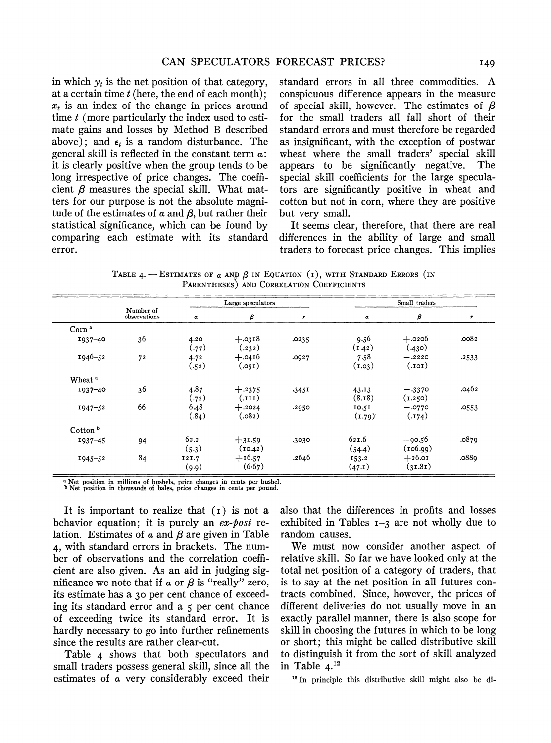in which  $y_t$  is the net position of that category, at a certain time *t* (here, the end of each month);  $x_t$  is an index of the change in prices around time *t* (more particularly the index used to estimate gains and losses by Method B described above); and  $\epsilon_t$  is a random disturbance. The general skill is reflected in the constant term *a:*  it is clearly positive when the group tends to be long irrespective of price changes. The coefficient  $\beta$  measures the special skill. What matters for our purpose is not the absolute magnitude of the estimates of  $\alpha$  and  $\beta$ , but rather their statistical significance, which can be found by comparing each estimate with its standard error.

standard errors in all three commodities. A conspicuous difference appears in the measure of special skill, however. The estimates of  $\beta$ for the small traders all fall short of their standard errors and must therefore be regarded as insignificant, with the exception of postwar wheat where the small traders' special skill appears to be significantly negative. The special skill coefficients for the large speculators are significantly positive in wheat and cotton but not in corn, where they are positive but very small.

It seems clear, therefore, that there are real differences in the ability of large and small traders to forecast price changes. This implies

TABLE 4. – ESTIMATES OF  $\alpha$  AND  $\beta$  in EQUATION (1), with Standard Errors (in PARENTHESES) AND CORRELATION COEFFICIENTS

|                    |                           |                | Large speculators   |           |                 | Small traders        |       |
|--------------------|---------------------------|----------------|---------------------|-----------|-----------------|----------------------|-------|
|                    | Number of<br>observations | $\pmb{a}$      | β                   | $\pmb{r}$ | $\pmb{a}$       | β                    | ,     |
| Corn <sup>a</sup>  |                           |                |                     |           |                 |                      |       |
| $1937 - 40$        | 36                        | 4.20<br>(.77)  | $+.0318$<br>(.232)  | .0235     | 9.56<br>(1.42)  | $+.0206$<br>(.430)   | .0082 |
| $1946 - 52$        | 72                        | 4.72<br>(.52)  | $+.0416$<br>(.051)  | .0927     | 7.58<br>(1.03)  | $-.2220$<br>(10I)    | .2533 |
| Wheat <sup>a</sup> |                           |                |                     |           |                 |                      |       |
| $1937 - 40$        | 36                        | 4.87<br>(.72)  | $+.2375$<br>(111)   | .345I     | 43.13<br>(8.18) | $-.3370$<br>(1.250)  | .0462 |
| $1947 - 52$        | 66                        | 6.48<br>(.84)  | $+.2024$<br>(.082)  | .2950     | 10.51<br>(1.79) | $-.0770$<br>(.174)   | .0553 |
| $\cot \theta$      |                           |                |                     |           |                 |                      |       |
| $1937 - 45$        | 94                        | 62.2<br>(5.3)  | $+31.59$<br>(10.42) | .3030     | 621.6<br>(54.4) | $-90.56$<br>(106.99) | .0879 |
| $1945 - 52$        | 84                        | I2I.7<br>(9.9) | $+16.57$<br>(6.67)  | .2646     | 153.2<br>(47.1) | $+26.01$<br>(31.81)  | .o88g |

a Net position in millions of bushels, price changes in cents per bushel.<br><sup>b</sup>Net position in thousands of bales, price changes in cents per pound.

It is important to realize that  $(1)$  is not a behavior equation; it is purely an **ex-post** relation. Estimates of  $\alpha$  and  $\beta$  are given in Table 4, with standard errors in brackets. The number of observations and the correlation coefficient are also given. As an aid in judging significance we note that if  $\alpha$  or  $\beta$  is "really" zero, its estimate has a 30 per cent chance of exceeding its standard error and a **5** per cent chance of exceeding twice its standard error. It is hardly necessary to go into further refinements since the results are rather clear-cut.

Table 4 shows that both speculators and small traders possess general skill, since all the estimates of *a* very considerably exceed their also that the differences in profits and losses exhibited in Tables  $1-\frac{3}{3}$  are not wholly due to random causes.

We must now consider another aspect of relative skill. So far we have looked only at the total net position of a category of traders, that is to say at the net position in all futures contracts combined. Since, however, the prices of different deliveries do not usually move in an exactly parallel manner, there is also scope for skill in choosing the futures in which to be long or short; this might be called distributive skill to distinguish it from the sort of skill analyzed in Table 4.12

<sup>12</sup> In principle this distributive skill might also be di-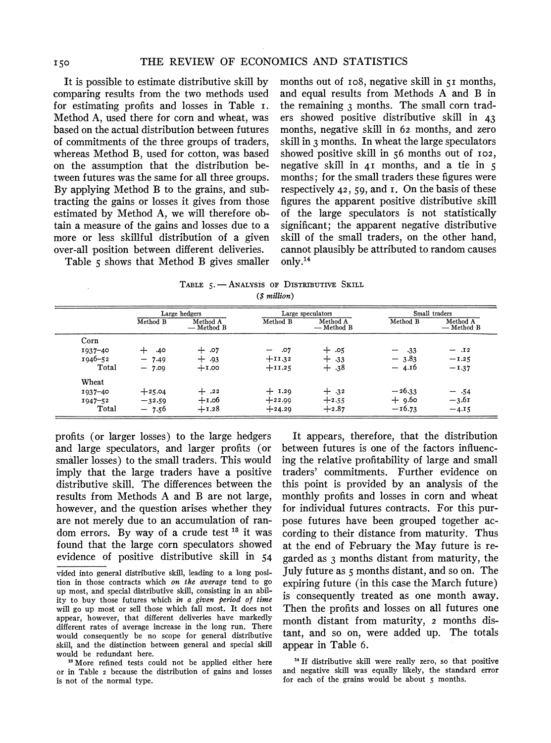It is possible to estimate distributive skill by comparing results from the two methods used for estimating profits and losses in Table I. Method **A,** used there for corn and wheat, was based on the actual distribution between futures of commitments of the three groups of traders, whereas Method B, used for cotton, was based on the assumption that the distribution between futures was the same for all three groups. By applying Method B to the grains, and subtracting the gains or losses it gives from those estimated by Method A, we will therefore obtain a measure of the gains and losses due to a more or less skillful distribution of a given over-all position between different deliveries.

Table **5** shows that Method B gives smaller

months out of  $108$ , negative skill in  $51$  months, and equal results from Methods A and B in the remaining **3** months. The small corn traders showed positive distributive skill in 43 months, negative skill in 62 months, and zero skill in **3** months. In wheat the large speculators showed positive skill in 56 months out of 102, negative skill in 41 months, and a tie in **5**  months; for the small traders these figures were respectively 42, 59, and  $\bar{I}$ . On the basis of these figures the apparent positive distributive skill of the large speculators is not statistically significant; the apparent negative distributive skill of the small traders, on the other hand, cannot plausibly be attributed to random causes only.<sup>14</sup>

| 100 b gives smaller only. |                                           |  |
|---------------------------|-------------------------------------------|--|
|                           | TABLE 5. - ANALYSIS OF DISTRIBUTIVE SKILL |  |
| $(s$ million              |                                           |  |

|             |          | Large hedgers          |          | Large speculators      |          | Small traders          |
|-------------|----------|------------------------|----------|------------------------|----------|------------------------|
|             | Method B | Method A<br>— Method B | Method B | Method A<br>— Method B | Method B | Method A<br>- Method B |
| Corn        |          |                        |          |                        |          |                        |
| $1937 - 40$ | $+$ .40  | $+$ .or                | $-$ .07  | $+ .05$                | $-33$    | $-.12$                 |
| $1946 - 52$ | $-7.49$  | $+$ .93                | $+11.32$ | $+33$                  | $-3.83$  | $-1.25$                |
| Total       | $-7.09$  | $+1.00$                | $+11.25$ | $+38$                  | $-4.16$  | $-1.37$                |
| Wheat       |          |                        |          |                        |          |                        |
| $1937 - 40$ | $+25.04$ | $+ .22$                | $+1.29$  | $+$ .32                | $-26.33$ | $- .54$                |
| $1947 - 52$ | $-32.59$ | $+1.06$                | $+22.99$ | $+2.55$                | $+$ 9.60 | $-3.61$                |
| Total       | $-7.56$  | $+1.28$                | $+24.29$ | $+2.87$                | $-16.73$ | $-4.15$                |

profits (or larger losses) to the large hedgers and large speculators, and larger profits (or smaller losses) to the small traders. This would imply that the large traders have a positive distributive skill. The differences between the results from Methods A and B are not large, however, and the question arises whether they are not merely due to an accumulation of random errors. By way of a crude test **l3** it was found that the large corn speculators showed evidence of positive distributive skill in 54

<sup>13</sup> More refined tests could not be applied either here or in Table **2** because the distribution of gains and losses is not of the normal type.

It appears, therefore, that the distribution between futures is one of the factors influencing the relative profitability of large and small traders' commitments. Further evidence on this point is provided by an analysis of the monthly profits and losses in corn and wheat for individual futures contracts. For this purpose futures have been grouped together according to their distance from maturity. Thus at the end of February the May future is regarded as **3** months distant from maturity, the July future as 5 months distant, and so on. The expiring future (in this case the March future) is consequently treated as one month away. Then the profits and losses on all futures one month distant from maturity, 2 months distant, and so on, were added up. The totals appear in Table 6.

vided into general distributive skill, leading to a long position in those contracts which *on the average* tend to go up most, and special distributive skill, consisting in an ability to buy those futures which *in a given period of time*  will go up most or sell those which fall most. It does not appear, however, that different deliveries have markedly different rates of average increase in the long run. There would consequently be no scope for general distributive skill, and the distinction between general and special skill would be redundant here.

<sup>&</sup>lt;sup>14</sup> If distributive skill were really zero, so that positive and negative skill was equally likely, the standard error for each of the grains would be about **5** months.